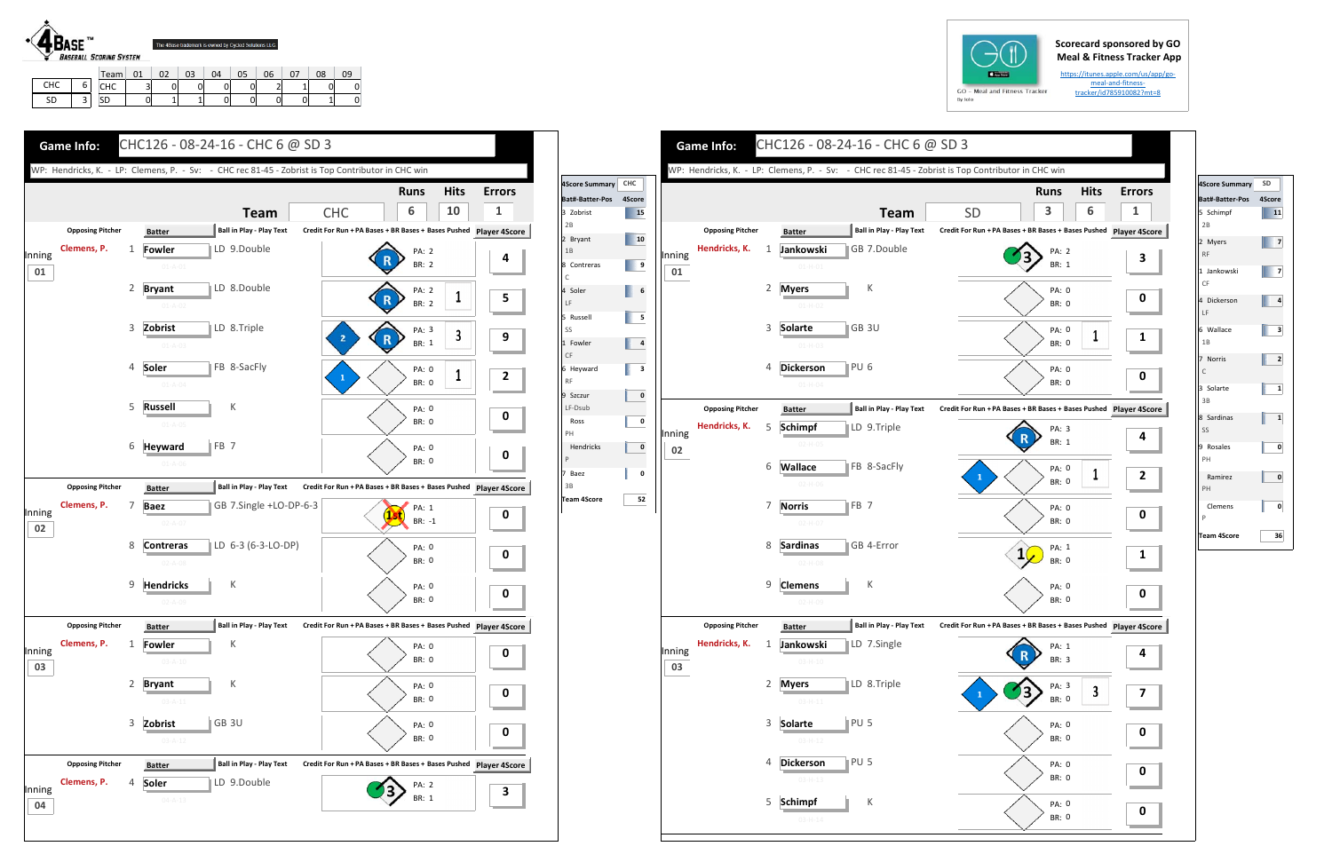## **Scorecard sponsored by GO Meal & Fitness Tracker App**

https://itunes.apple.com/us/app/go‐ meal‐and‐fitness‐ tracker/id785910082?mt=8



SD 3

CHC | 3 | 0 | 0 | 0 | 0 | 2 | 1 | 0 | 0 SD | 0 | 1 | 1 | 0 | 0 | 0 | 0 | 1 | 0

| $GO -$<br>M |  |
|-------------|--|

| <b>SD</b><br>3<br><b>Team</b><br><b>Ball in Play - Play Text</b><br><b>Opposing Pitcher</b><br>Credit For Run + PA Bases + BR Bases + Bases Pushed Player 4S<br><b>Batter</b><br>Hendricks, K.<br>GB 7.Double<br>$\mathbf{1}$<br>Jankowski<br>PA: 2<br>Inning<br>BR: 1<br>$01 - H - 01$<br>01<br>$\overline{2}$<br>К<br><b>Myers</b><br>PA: 0<br><b>BR: 0</b><br>$01 - H - 02$<br>3<br>∥GB 3U<br>Solarte<br>PA: 0<br><b>BR: 0</b><br>$01 - H - 03$<br>PU <sub>6</sub><br><b>Dickerson</b><br>4<br>PA: 0<br><b>BR: 0</b><br>$01 - H - 04$<br><b>Opposing Pitcher</b><br><b>Ball in Play - Play Text</b><br>Credit For Run + PA Bases + BR Bases + Bases Pushed Player 4S<br><b>Batter</b><br>Hendricks, K.<br>5<br>LD 9.Triple<br><b>Schimpf</b><br>PA: 3<br>Inning<br>BR: 1<br>$02-H-05$<br>02<br>FB 8-SacFly<br>6<br><b>Wallace</b><br>PA: 0<br>$\mathbf{1}$<br><b>BR: 0</b><br>$02-H-06$<br>FB <sub>7</sub><br>7<br><b>Norris</b><br>PA: 0<br>BR: 0<br>$02-H-07$<br>8<br><b>Sardinas</b><br>GB 4-Error<br>PA: 1<br>1<br>BR: 0<br>$02-H-08$<br>9<br>К<br><b>Clemens</b><br>PA: 0<br><b>BR: 0</b><br>$02 - H - 09$<br><b>Ball in Play - Play Text</b><br><b>Opposing Pitcher</b><br>Credit For Run + PA Bases + BR Bases + Bases Pushed Player 4S<br><b>Batter</b><br>Hendricks, K.<br>Jankowski<br>LD 7.Single<br>1<br>PA: 1<br>BR: 3<br>$03-H-10$<br>03<br>$\overline{2}$<br>LD 8.Triple<br><b>Myers</b><br>PA: 3<br>BR: 0<br>$03 - H - 11$<br>3<br>PU <sub>5</sub><br>Solarte<br>PA: 0<br>BR: 0<br>$03 - H - 12$<br>PU <sub>5</sub><br>4<br><b>Dickerson</b><br>PA: 0 |        |  |               |  | <b>Runs</b> | <b>Hits</b> |
|--------------------------------------------------------------------------------------------------------------------------------------------------------------------------------------------------------------------------------------------------------------------------------------------------------------------------------------------------------------------------------------------------------------------------------------------------------------------------------------------------------------------------------------------------------------------------------------------------------------------------------------------------------------------------------------------------------------------------------------------------------------------------------------------------------------------------------------------------------------------------------------------------------------------------------------------------------------------------------------------------------------------------------------------------------------------------------------------------------------------------------------------------------------------------------------------------------------------------------------------------------------------------------------------------------------------------------------------------------------------------------------------------------------------------------------------------------------------------------------------------------------------------------------------------------------------------|--------|--|---------------|--|-------------|-------------|
|                                                                                                                                                                                                                                                                                                                                                                                                                                                                                                                                                                                                                                                                                                                                                                                                                                                                                                                                                                                                                                                                                                                                                                                                                                                                                                                                                                                                                                                                                                                                                                          |        |  |               |  |             | 6           |
|                                                                                                                                                                                                                                                                                                                                                                                                                                                                                                                                                                                                                                                                                                                                                                                                                                                                                                                                                                                                                                                                                                                                                                                                                                                                                                                                                                                                                                                                                                                                                                          |        |  |               |  |             |             |
|                                                                                                                                                                                                                                                                                                                                                                                                                                                                                                                                                                                                                                                                                                                                                                                                                                                                                                                                                                                                                                                                                                                                                                                                                                                                                                                                                                                                                                                                                                                                                                          |        |  |               |  |             |             |
|                                                                                                                                                                                                                                                                                                                                                                                                                                                                                                                                                                                                                                                                                                                                                                                                                                                                                                                                                                                                                                                                                                                                                                                                                                                                                                                                                                                                                                                                                                                                                                          |        |  |               |  |             |             |
|                                                                                                                                                                                                                                                                                                                                                                                                                                                                                                                                                                                                                                                                                                                                                                                                                                                                                                                                                                                                                                                                                                                                                                                                                                                                                                                                                                                                                                                                                                                                                                          |        |  |               |  |             | 1           |
|                                                                                                                                                                                                                                                                                                                                                                                                                                                                                                                                                                                                                                                                                                                                                                                                                                                                                                                                                                                                                                                                                                                                                                                                                                                                                                                                                                                                                                                                                                                                                                          |        |  |               |  |             |             |
|                                                                                                                                                                                                                                                                                                                                                                                                                                                                                                                                                                                                                                                                                                                                                                                                                                                                                                                                                                                                                                                                                                                                                                                                                                                                                                                                                                                                                                                                                                                                                                          |        |  |               |  |             |             |
|                                                                                                                                                                                                                                                                                                                                                                                                                                                                                                                                                                                                                                                                                                                                                                                                                                                                                                                                                                                                                                                                                                                                                                                                                                                                                                                                                                                                                                                                                                                                                                          |        |  |               |  |             |             |
|                                                                                                                                                                                                                                                                                                                                                                                                                                                                                                                                                                                                                                                                                                                                                                                                                                                                                                                                                                                                                                                                                                                                                                                                                                                                                                                                                                                                                                                                                                                                                                          |        |  |               |  |             | $\mathbf 1$ |
|                                                                                                                                                                                                                                                                                                                                                                                                                                                                                                                                                                                                                                                                                                                                                                                                                                                                                                                                                                                                                                                                                                                                                                                                                                                                                                                                                                                                                                                                                                                                                                          |        |  |               |  |             |             |
|                                                                                                                                                                                                                                                                                                                                                                                                                                                                                                                                                                                                                                                                                                                                                                                                                                                                                                                                                                                                                                                                                                                                                                                                                                                                                                                                                                                                                                                                                                                                                                          |        |  |               |  |             |             |
|                                                                                                                                                                                                                                                                                                                                                                                                                                                                                                                                                                                                                                                                                                                                                                                                                                                                                                                                                                                                                                                                                                                                                                                                                                                                                                                                                                                                                                                                                                                                                                          |        |  |               |  |             |             |
|                                                                                                                                                                                                                                                                                                                                                                                                                                                                                                                                                                                                                                                                                                                                                                                                                                                                                                                                                                                                                                                                                                                                                                                                                                                                                                                                                                                                                                                                                                                                                                          | Inning |  |               |  |             |             |
|                                                                                                                                                                                                                                                                                                                                                                                                                                                                                                                                                                                                                                                                                                                                                                                                                                                                                                                                                                                                                                                                                                                                                                                                                                                                                                                                                                                                                                                                                                                                                                          |        |  |               |  |             |             |
|                                                                                                                                                                                                                                                                                                                                                                                                                                                                                                                                                                                                                                                                                                                                                                                                                                                                                                                                                                                                                                                                                                                                                                                                                                                                                                                                                                                                                                                                                                                                                                          |        |  |               |  |             | 3           |
|                                                                                                                                                                                                                                                                                                                                                                                                                                                                                                                                                                                                                                                                                                                                                                                                                                                                                                                                                                                                                                                                                                                                                                                                                                                                                                                                                                                                                                                                                                                                                                          |        |  |               |  |             |             |
|                                                                                                                                                                                                                                                                                                                                                                                                                                                                                                                                                                                                                                                                                                                                                                                                                                                                                                                                                                                                                                                                                                                                                                                                                                                                                                                                                                                                                                                                                                                                                                          |        |  | $03 - H - 13$ |  | BR: 0       |             |



|        |                         |              |                  | WP: Hendricks, K. - LP: Clemens, P. - Sv: - CHC rec 81-45 - Zobrist is Top Contributor in CHC win |                                                                   |                       |             |                      |                              |                   |
|--------|-------------------------|--------------|------------------|---------------------------------------------------------------------------------------------------|-------------------------------------------------------------------|-----------------------|-------------|----------------------|------------------------------|-------------------|
|        |                         |              |                  |                                                                                                   |                                                                   | <b>Runs</b>           | <b>Hits</b> | <b>Errors</b>        | <b>4Score Summary</b>        | CHC               |
|        |                         |              |                  | <b>Team</b>                                                                                       | <b>CHC</b>                                                        | 6                     | 10          | 1                    | Bat#-Batter-Pos<br>3 Zobrist | 4Score            |
|        | <b>Opposing Pitcher</b> |              | <b>Batter</b>    | <b>Ball in Play - Play Text</b>                                                                   | Credit For Run + PA Bases + BR Bases + Bases Pushed Player 4Score |                       |             |                      | 2B                           |                   |
|        | Clemens, P.             | $\mathbf{1}$ | Fowler           | LD 9.Double                                                                                       |                                                                   |                       |             |                      | 2 Bryant                     | $\blacksquare$ 10 |
| Inning |                         |              | $01 - A - 01$    |                                                                                                   |                                                                   | PA: 2<br><b>BR: 2</b> |             | 4                    | 1B<br>8 Contreras            |                   |
| 01     |                         |              |                  |                                                                                                   |                                                                   |                       |             |                      | C                            |                   |
|        |                         | 2            | <b>Bryant</b>    | LD 8.Double                                                                                       |                                                                   | <b>PA: 2</b>          | $\mathbf 1$ | 5                    | 4 Soler                      |                   |
|        |                         |              | $01 - A - 02$    |                                                                                                   |                                                                   | <b>BR: 2</b>          |             |                      | LF.<br>5 Russell             |                   |
|        |                         | 3            | Zobrist          | LD 8.Triple                                                                                       |                                                                   | PA: 3                 |             |                      | SS                           |                   |
|        |                         |              | $01 - A - 03$    |                                                                                                   | $\overline{2}$<br>$\mathsf{R}$                                    | BR: 1                 | 3           | 9                    | 1 Fowler                     |                   |
|        |                         | 4            | Soler            | FB 8-SacFly                                                                                       |                                                                   |                       |             |                      | CF                           |                   |
|        |                         |              | $01 - A - 04$    |                                                                                                   | $\mathbf{1}$                                                      | PA: 0<br><b>BR: 0</b> | $\mathbf 1$ | 2                    | 6 Heyward<br><b>RF</b>       |                   |
|        |                         |              |                  |                                                                                                   |                                                                   |                       |             |                      | 9 Szczur                     |                   |
|        |                         | 5            | <b>Russell</b>   | К                                                                                                 |                                                                   | PA: 0                 |             | $\mathbf 0$          | LF-Dsub                      |                   |
|        |                         |              | $01 - A - 05$    |                                                                                                   |                                                                   | <b>BR: 0</b>          |             |                      | Ross<br>PH                   |                   |
|        |                         | 6            | Heyward          | FB 7                                                                                              |                                                                   | PA: 0                 |             |                      | Hendricks                    |                   |
|        |                         |              | $01 - A - 06$    |                                                                                                   |                                                                   | <b>BR: 0</b>          |             | $\bf{0}$             | P                            |                   |
|        | <b>Opposing Pitcher</b> |              |                  | Ball in Play - Play Text                                                                          | Credit For Run + PA Bases + BR Bases + Bases Pushed Player 4Score |                       |             |                      | Baez<br>7<br>3B              |                   |
|        |                         |              | <b>Batter</b>    |                                                                                                   |                                                                   |                       |             |                      | <b>Team 4Score</b>           |                   |
| Inning | Clemens, P.             | 7            | <b>Baez</b>      | GB 7.Single +LO-DP-6-3                                                                            |                                                                   | PA: 1<br>Ш.<br>BR: -1 |             | $\mathbf 0$          |                              |                   |
| 02     |                         |              | $02 - A - 07$    |                                                                                                   |                                                                   |                       |             |                      |                              |                   |
|        |                         | 8            | <b>Contreras</b> | <b>LD 6-3 (6-3-LO-DP)</b>                                                                         |                                                                   | PA: 0                 |             | $\mathbf 0$          |                              |                   |
|        |                         |              | $02 - A - 08$    |                                                                                                   |                                                                   | <b>BR: 0</b>          |             |                      |                              |                   |
|        |                         | 9            | <b>Hendricks</b> | К                                                                                                 |                                                                   | PA: 0                 |             |                      |                              |                   |
|        |                         |              | $02 - A - 09$    |                                                                                                   |                                                                   | <b>BR: 0</b>          |             | $\boldsymbol{0}$     |                              |                   |
|        |                         |              |                  |                                                                                                   |                                                                   |                       |             |                      |                              |                   |
|        | <b>Opposing Pitcher</b> |              | <b>Batter</b>    | Ball in Play - Play Text                                                                          | Credit For Run + PA Bases + BR Bases + Bases Pushed Player 4Score |                       |             |                      |                              |                   |
| Inning | Clemens, P.             | 1            | Fowler           | К                                                                                                 |                                                                   | PA: 0                 |             | 0                    |                              |                   |
| 03     |                         |              | $03 - A - 10$    |                                                                                                   |                                                                   | BR: 0                 |             |                      |                              |                   |
|        |                         | 2            | <b>Bryant</b>    | К                                                                                                 |                                                                   | PA: 0                 |             | 0                    |                              |                   |
|        |                         |              | $03 - A - 11$    |                                                                                                   |                                                                   | <b>BR: 0</b>          |             |                      |                              |                   |
|        |                         | 3            | Zobrist          | GB <sub>3U</sub>                                                                                  |                                                                   | PA: 0                 |             |                      |                              |                   |
|        |                         |              | $03 - A - 12$    |                                                                                                   |                                                                   | BR: 0                 |             | 0                    |                              |                   |
|        |                         |              |                  |                                                                                                   |                                                                   |                       |             |                      |                              |                   |
|        | <b>Opposing Pitcher</b> |              | <b>Batter</b>    | <b>Ball in Play - Play Text</b>                                                                   | Credit For Run + PA Bases + BR Bases + Bases Pushed               |                       |             | <b>Player 4Score</b> |                              |                   |
| Inning | Clemens, P.             | 4            | Soler            | LD 9.Double                                                                                       |                                                                   | PA: 2                 |             | 3                    |                              |                   |
| 04     |                         |              | $04 - A - 13$    |                                                                                                   |                                                                   | BR: 1                 |             |                      |                              |                   |



| 4Score Summary           | <b>SD</b> |
|--------------------------|-----------|
| <b>Bat#-Batter-Pos</b>   | 4Score    |
| 5 Schimpf<br>2B          | 11        |
| 2 Myers<br><b>RF</b>     | 7         |
| 1 Jankowski<br>CF        | 7         |
| 4 Dickerson<br>LF        | 4         |
| 6 Wallace<br>1B          | 3         |
| 7 Norris<br>$\mathsf{C}$ | 2         |
| 3 Solarte<br>3B          | 1         |
| 8 Sardinas<br>SS         | 1         |
| 9 Rosales<br>PH          | 0         |
| Ramirez<br>PH            | 0         |
| Clemens<br>P             | 0         |
| Team 4Score              | 36        |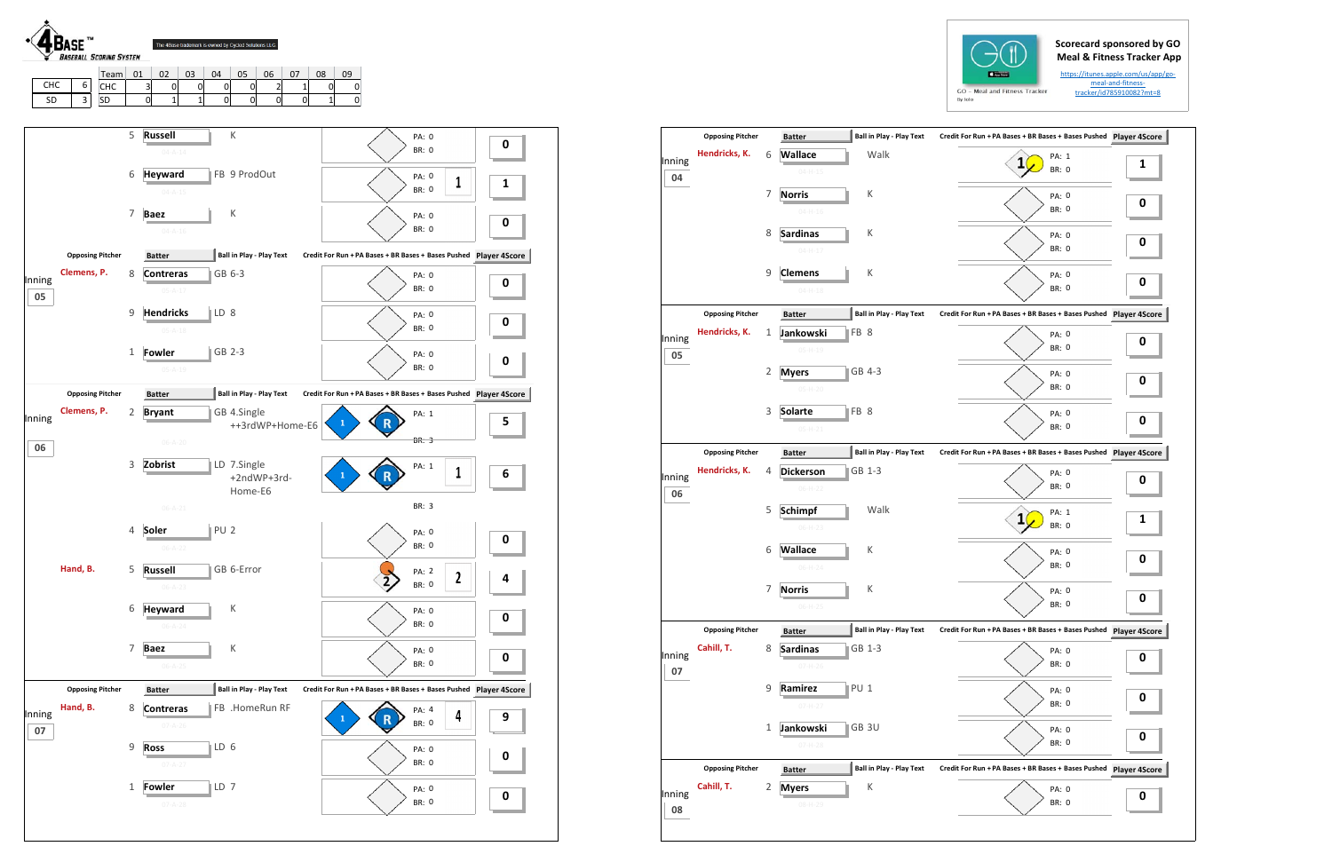## **Scorecard sponsored by GO Meal & Fitness Tracker App**

https://itunes.apple.com/us/app/go‐ meal‐and‐fitness‐ tracker/id785910082?mt=8

|        | <b>Opposing Pitcher</b> |   | <b>Batter</b>    | <b>Ball in Play - Play Text</b> | Credit For Run + PA Bases + BR Bases + Bases Pushed Player 4Score |          |
|--------|-------------------------|---|------------------|---------------------------------|-------------------------------------------------------------------|----------|
| Inning | Hendricks, K.           | 6 | Wallace          | Walk                            | PA: 1                                                             | 1        |
| 04     |                         |   | $04 - H - 15$    |                                 | <b>BR: 0</b>                                                      |          |
|        |                         | 7 | <b>Norris</b>    | К                               | PA: 0                                                             | 0        |
|        |                         |   | $04 - H - 16$    |                                 | <b>BR: 0</b>                                                      |          |
|        |                         | 8 | <b>Sardinas</b>  | К                               | <b>PA: 0</b>                                                      |          |
|        |                         |   | $04-H-17$        |                                 | <b>BR: 0</b>                                                      | 0        |
|        |                         | 9 | <b>Clemens</b>   | К                               | PA: 0                                                             |          |
|        |                         |   | $04-H-18$        |                                 | <b>BR: 0</b>                                                      | 0        |
|        | <b>Opposing Pitcher</b> |   | <b>Batter</b>    | <b>Ball in Play - Play Text</b> | Credit For Run + PA Bases + BR Bases + Bases Pushed Player 4Score |          |
| Inning | Hendricks, K.           | 1 | Jankowski        | FB <sub>8</sub>                 | PA: 0                                                             |          |
| 05     |                         |   | $05-H-19$        |                                 | <b>BR: 0</b>                                                      | 0        |
|        |                         | 2 | <b>Myers</b>     | <b>GB</b> 4-3                   | PA: 0                                                             |          |
|        |                         |   | $05-H-20$        |                                 | <b>BR: 0</b>                                                      | 0        |
|        |                         | 3 | <b>Solarte</b>   | FB 8                            | PA: 0                                                             |          |
|        |                         |   | $05-H-21$        |                                 | <b>BR: 0</b>                                                      | 0        |
|        | <b>Opposing Pitcher</b> |   | <b>Batter</b>    | <b>Ball in Play - Play Text</b> | Credit For Run + PA Bases + BR Bases + Bases Pushed Player 4Score |          |
| Inning | Hendricks, K.           | 4 | <b>Dickerson</b> | GB 1-3                          | PA: 0                                                             |          |
| 06     |                         |   | $06-H-22$        |                                 | <b>BR: 0</b>                                                      | 0        |
|        |                         | 5 | <b>Schimpf</b>   | Walk                            | PA: 1                                                             |          |
|        |                         |   | $06-H-23$        |                                 | <b>BR: 0</b>                                                      | 1        |
|        |                         | 6 | <b>Wallace</b>   | К                               | PA: 0                                                             | 0        |
|        |                         |   | $06-H-24$        |                                 | <b>BR: 0</b>                                                      |          |
|        |                         | 7 | <b>Norris</b>    | К                               | PA: 0                                                             | $\bf{0}$ |
|        |                         |   | $06-H-25$        |                                 | BR: 0                                                             |          |
|        | <b>Opposing Pitcher</b> |   | <b>Batter</b>    | <b>Ball in Play - Play Text</b> | Credit For Run + PA Bases + BR Bases + Bases Pushed Player 4Score |          |
| Inning | Cahill, T.              | 8 | <b>Sardinas</b>  | GB 1-3                          | PA: 0                                                             | 0        |
| 07     |                         |   | $07-H-26$        |                                 | BR: 0                                                             |          |
|        |                         | 9 | Ramirez          | PU <sub>1</sub>                 | PA: 0                                                             | 0        |
|        |                         |   | $07 - H - 27$    |                                 | BR: 0                                                             |          |
|        |                         | 1 | Jankowski        | GB 3U                           | PA: 0                                                             | 0        |
|        |                         |   | $07-H-28$        |                                 | BR: 0                                                             |          |
|        | <b>Opposing Pitcher</b> |   | <b>Batter</b>    | <b>Ball in Play - Play Text</b> | Credit For Run + PA Bases + BR Bases + Bases Pushed Player 4Score |          |
|        |                         |   | <b>Myers</b>     | К                               |                                                                   |          |
| Inning | Cahill, T.              | 2 |                  |                                 | PA: 0                                                             | 0        |